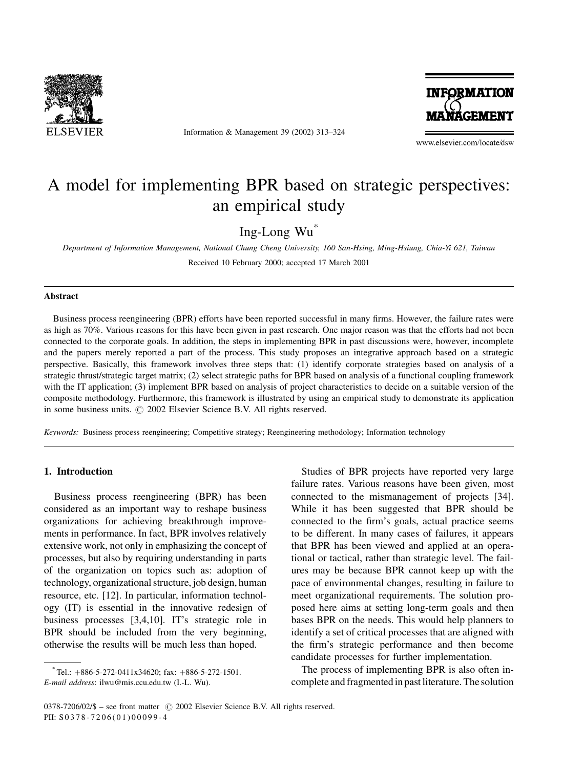

Information & Management 39 (2002) 313–324



www.elsevier.com/locate/dsw

## A model for implementing BPR based on strategic perspectives: an empirical study

Ing-Long Wu\*

Department of Information Management, National Chung Cheng University, 160 San-Hsing, Ming-Hsiung, Chia-Yi 621, Taiwan Received 10 February 2000; accepted 17 March 2001

#### Abstract

Business process reengineering (BPR) efforts have been reported successful in many firms. However, the failure rates were as high as 70%. Various reasons for this have been given in past research. One major reason was that the efforts had not been connected to the corporate goals. In addition, the steps in implementing BPR in past discussions were, however, incomplete and the papers merely reported a part of the process. This study proposes an integrative approach based on a strategic perspective. Basically, this framework involves three steps that: (1) identify corporate strategies based on analysis of a strategic thrust/strategic target matrix; (2) select strategic paths for BPR based on analysis of a functional coupling framework with the IT application; (3) implement BPR based on analysis of project characteristics to decide on a suitable version of the composite methodology. Furthermore, this framework is illustrated by using an empirical study to demonstrate its application in some business units.  $\odot$  2002 Elsevier Science B.V. All rights reserved.

Keywords: Business process reengineering; Competitive strategy; Reengineering methodology; Information technology

## 1. Introduction

Business process reengineering (BPR) has been considered as an important way to reshape business organizations for achieving breakthrough improvements in performance. In fact, BPR involves relatively extensive work, not only in emphasizing the concept of processes, but also by requiring understanding in parts of the organization on topics such as: adoption of technology, organizational structure, job design, human resource, etc. [12]. In particular, information technology (IT) is essential in the innovative redesign of business processes [3,4,10]. IT's strategic role in BPR should be included from the very beginning, otherwise the results will be much less than hoped.

Studies of BPR projects have reported very large failure rates. Various reasons have been given, most connected to the mismanagement of projects [34]. While it has been suggested that BPR should be connected to the firm's goals, actual practice seems to be different. In many cases of failures, it appears that BPR has been viewed and applied at an operational or tactical, rather than strategic level. The failures may be because BPR cannot keep up with the pace of environmental changes, resulting in failure to meet organizational requirements. The solution proposed here aims at setting long-term goals and then bases BPR on the needs. This would help planners to identify a set of critical processes that are aligned with the firm's strategic performance and then become candidate processes for further implementation.

The process of implementing BPR is also often incomplete and fragmented in past literature. The solution

 $T$ el.:  $+886-5-272-0411x34620$ ; fax:  $+886-5-272-1501$ . E-mail address: ilwu@mis.ccu.edu.tw (I.-L. Wu).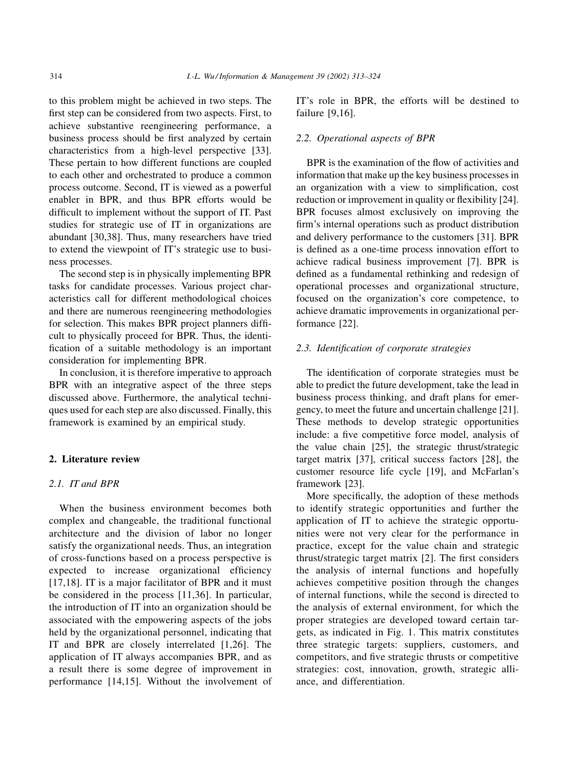to this problem might be achieved in two steps. The first step can be considered from two aspects. First, to achieve substantive reengineering performance, a business process should be first analyzed by certain characteristics from a high-level perspective [33]. These pertain to how different functions are coupled to each other and orchestrated to produce a common process outcome. Second, IT is viewed as a powerful enabler in BPR, and thus BPR efforts would be difficult to implement without the support of IT. Past studies for strategic use of IT in organizations are abundant [30,38]. Thus, many researchers have tried to extend the viewpoint of IT's strategic use to business processes.

The second step is in physically implementing BPR tasks for candidate processes. Various project characteristics call for different methodological choices and there are numerous reengineering methodologies for selection. This makes BPR project planners difficult to physically proceed for BPR. Thus, the identification of a suitable methodology is an important consideration for implementing BPR.

In conclusion, it is therefore imperative to approach BPR with an integrative aspect of the three steps discussed above. Furthermore, the analytical techniques used for each step are also discussed. Finally, this framework is examined by an empirical study.

## 2. Literature review

### 2.1. IT and BPR

When the business environment becomes both complex and changeable, the traditional functional architecture and the division of labor no longer satisfy the organizational needs. Thus, an integration of cross-functions based on a process perspective is expected to increase organizational efficiency [17,18]. IT is a major facilitator of BPR and it must be considered in the process [11,36]. In particular, the introduction of IT into an organization should be associated with the empowering aspects of the jobs held by the organizational personnel, indicating that IT and BPR are closely interrelated [1,26]. The application of IT always accompanies BPR, and as a result there is some degree of improvement in performance [14,15]. Without the involvement of IT's role in BPR, the efforts will be destined to failure [9,16].

### 2.2. Operational aspects of BPR

BPR is the examination of the flow of activities and information that make up the key business processes in an organization with a view to simplification, cost reduction or improvement in quality or flexibility [24]. BPR focuses almost exclusively on improving the firm's internal operations such as product distribution and delivery performance to the customers [31]. BPR is defined as a one-time process innovation effort to achieve radical business improvement [7]. BPR is defined as a fundamental rethinking and redesign of operational processes and organizational structure, focused on the organization's core competence, to achieve dramatic improvements in organizational performance [22].

#### 2.3. Identification of corporate strategies

The identification of corporate strategies must be able to predict the future development, take the lead in business process thinking, and draft plans for emergency, to meet the future and uncertain challenge [21]. These methods to develop strategic opportunities include: a five competitive force model, analysis of the value chain [25], the strategic thrust/strategic target matrix [37], critical success factors [28], the customer resource life cycle [19], and McFarlan's framework [23].

More specifically, the adoption of these methods to identify strategic opportunities and further the application of IT to achieve the strategic opportunities were not very clear for the performance in practice, except for the value chain and strategic thrust/strategic target matrix [2]. The first considers the analysis of internal functions and hopefully achieves competitive position through the changes of internal functions, while the second is directed to the analysis of external environment, for which the proper strategies are developed toward certain targets, as indicated in Fig. 1. This matrix constitutes three strategic targets: suppliers, customers, and competitors, and five strategic thrusts or competitive strategies: cost, innovation, growth, strategic alliance, and differentiation.